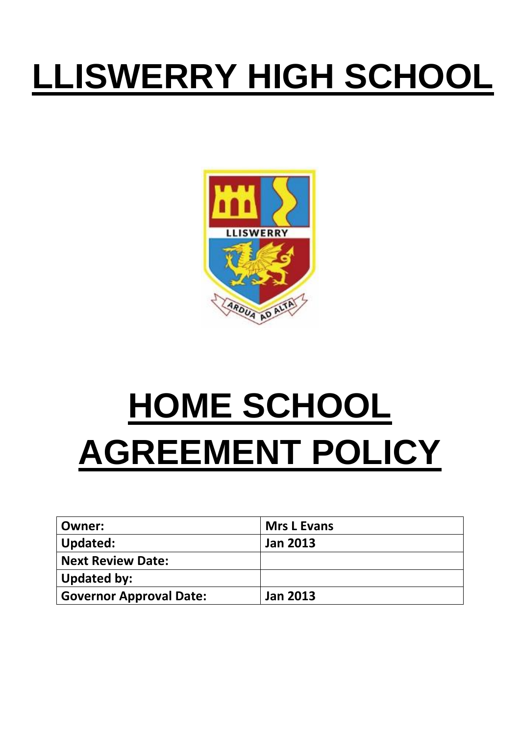## **LLISWERRY HIGH SCHOOL**



## **HOME SCHOOL AGREEMENT POLICY**

| Owner:                         | <b>Mrs L Evans</b> |
|--------------------------------|--------------------|
| Updated:                       | <b>Jan 2013</b>    |
| <b>Next Review Date:</b>       |                    |
| <b>Updated by:</b>             |                    |
| <b>Governor Approval Date:</b> | <b>Jan 2013</b>    |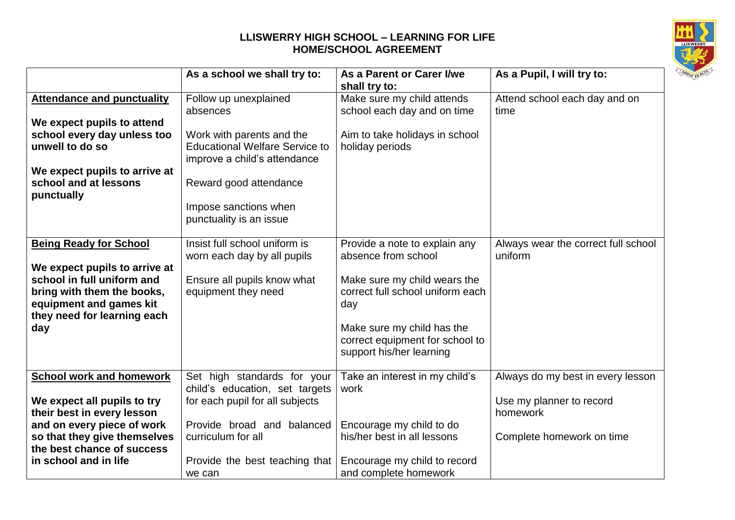## **LLISWERRY HIGH SCHOOL – LEARNING FOR LIFE HOME/SCHOOL AGREEMENT**



|                                   | As a school we shall try to:          | As a Parent or Carer I/we        | As a Pupil, I will try to:          |
|-----------------------------------|---------------------------------------|----------------------------------|-------------------------------------|
|                                   |                                       | shall try to:                    |                                     |
| <b>Attendance and punctuality</b> | Follow up unexplained                 | Make sure my child attends       | Attend school each day and on       |
|                                   | absences                              | school each day and on time      | time                                |
| We expect pupils to attend        |                                       |                                  |                                     |
| school every day unless too       | Work with parents and the             | Aim to take holidays in school   |                                     |
| unwell to do so                   | <b>Educational Welfare Service to</b> | holiday periods                  |                                     |
|                                   | improve a child's attendance          |                                  |                                     |
| We expect pupils to arrive at     |                                       |                                  |                                     |
| school and at lessons             | Reward good attendance                |                                  |                                     |
| punctually                        |                                       |                                  |                                     |
|                                   |                                       |                                  |                                     |
|                                   | Impose sanctions when                 |                                  |                                     |
|                                   | punctuality is an issue               |                                  |                                     |
|                                   |                                       |                                  |                                     |
| <b>Being Ready for School</b>     | Insist full school uniform is         | Provide a note to explain any    | Always wear the correct full school |
|                                   | worn each day by all pupils           | absence from school              | uniform                             |
| We expect pupils to arrive at     |                                       |                                  |                                     |
| school in full uniform and        | Ensure all pupils know what           | Make sure my child wears the     |                                     |
| bring with them the books,        | equipment they need                   | correct full school uniform each |                                     |
| equipment and games kit           |                                       | day                              |                                     |
| they need for learning each       |                                       |                                  |                                     |
| day                               |                                       | Make sure my child has the       |                                     |
|                                   |                                       | correct equipment for school to  |                                     |
|                                   |                                       | support his/her learning         |                                     |
|                                   |                                       |                                  |                                     |
| <b>School work and homework</b>   | Set high standards for your           | Take an interest in my child's   | Always do my best in every lesson   |
|                                   | child's education, set targets        | work                             |                                     |
| We expect all pupils to try       | for each pupil for all subjects       |                                  | Use my planner to record            |
| their best in every lesson        |                                       |                                  | homework                            |
| and on every piece of work        | Provide broad and balanced            | Encourage my child to do         |                                     |
| so that they give themselves      | curriculum for all                    | his/her best in all lessons      | Complete homework on time           |
| the best chance of success        |                                       |                                  |                                     |
| in school and in life             | Provide the best teaching that        | Encourage my child to record     |                                     |
|                                   | we can                                | and complete homework            |                                     |
|                                   |                                       |                                  |                                     |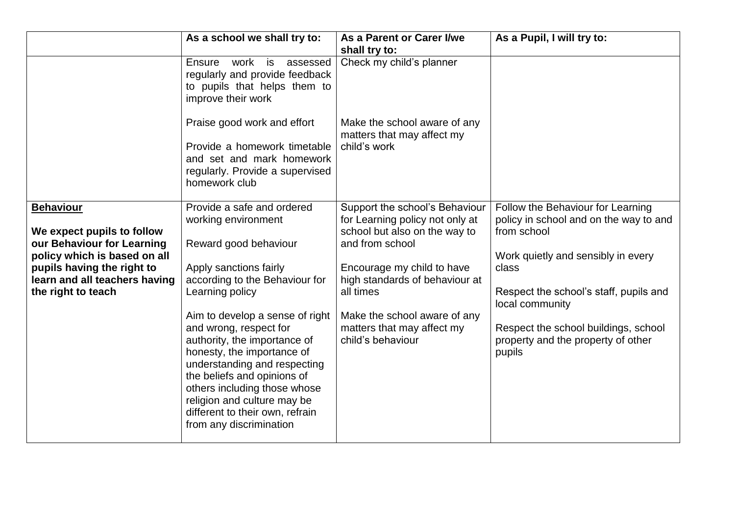|                                                                                                                                                                                                   | As a school we shall try to:                                                                                                                                                                                                                                                                                                                                                                                                                                                     | As a Parent or Carer I/we<br>shall try to:                                                                                                                                                                                                                                            | As a Pupil, I will try to:                                                                                                                                                                                                                                                                     |
|---------------------------------------------------------------------------------------------------------------------------------------------------------------------------------------------------|----------------------------------------------------------------------------------------------------------------------------------------------------------------------------------------------------------------------------------------------------------------------------------------------------------------------------------------------------------------------------------------------------------------------------------------------------------------------------------|---------------------------------------------------------------------------------------------------------------------------------------------------------------------------------------------------------------------------------------------------------------------------------------|------------------------------------------------------------------------------------------------------------------------------------------------------------------------------------------------------------------------------------------------------------------------------------------------|
|                                                                                                                                                                                                   | Ensure<br>work is<br>assessed<br>regularly and provide feedback<br>to pupils that helps them to<br>improve their work<br>Praise good work and effort<br>Provide a homework timetable<br>and set and mark homework<br>regularly. Provide a supervised<br>homework club                                                                                                                                                                                                            | Check my child's planner<br>Make the school aware of any<br>matters that may affect my<br>child's work                                                                                                                                                                                |                                                                                                                                                                                                                                                                                                |
| <b>Behaviour</b><br>We expect pupils to follow<br>our Behaviour for Learning<br>policy which is based on all<br>pupils having the right to<br>learn and all teachers having<br>the right to teach | Provide a safe and ordered<br>working environment<br>Reward good behaviour<br>Apply sanctions fairly<br>according to the Behaviour for<br>Learning policy<br>Aim to develop a sense of right<br>and wrong, respect for<br>authority, the importance of<br>honesty, the importance of<br>understanding and respecting<br>the beliefs and opinions of<br>others including those whose<br>religion and culture may be<br>different to their own, refrain<br>from any discrimination | Support the school's Behaviour<br>for Learning policy not only at<br>school but also on the way to<br>and from school<br>Encourage my child to have<br>high standards of behaviour at<br>all times<br>Make the school aware of any<br>matters that may affect my<br>child's behaviour | Follow the Behaviour for Learning<br>policy in school and on the way to and<br>from school<br>Work quietly and sensibly in every<br>class<br>Respect the school's staff, pupils and<br>local community<br>Respect the school buildings, school<br>property and the property of other<br>pupils |